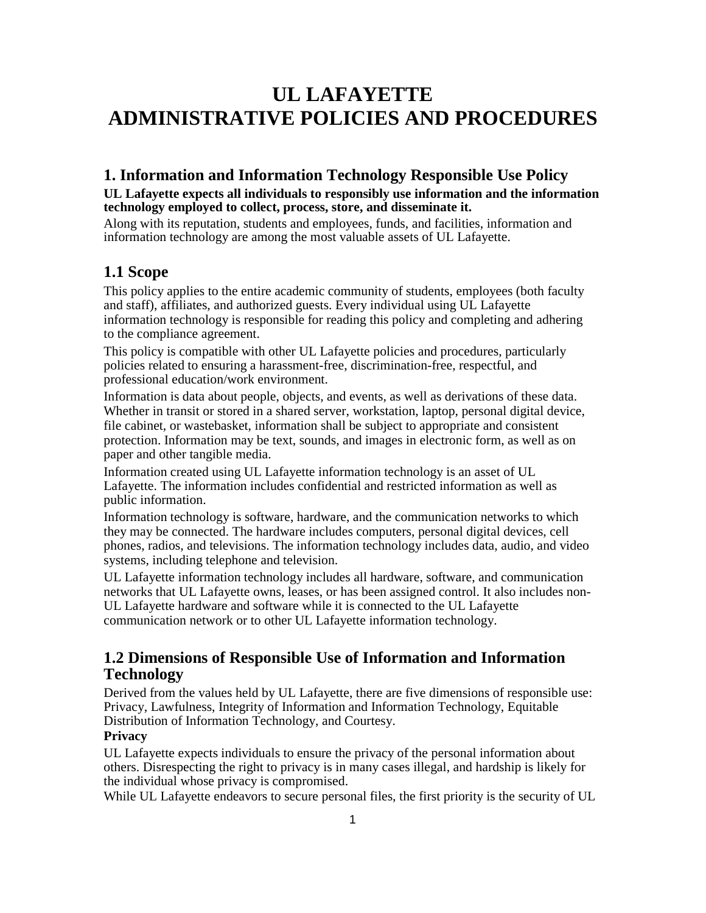# **UL LAFAYETTE ADMINISTRATIVE POLICIES AND PROCEDURES**

# **1. Information and Information Technology Responsible Use Policy**

### **UL Lafayette expects all individuals to responsibly use information and the information technology employed to collect, process, store, and disseminate it.**

Along with its reputation, students and employees, funds, and facilities, information and information technology are among the most valuable assets of UL Lafayette.

# **1.1 Scope**

This policy applies to the entire academic community of students, employees (both faculty and staff), affiliates, and authorized guests. Every individual using UL Lafayette information technology is responsible for reading this policy and completing and adhering to the compliance agreement.

This policy is compatible with other UL Lafayette policies and procedures, particularly policies related to ensuring a harassment-free, discrimination-free, respectful, and professional education/work environment.

Information is data about people, objects, and events, as well as derivations of these data. Whether in transit or stored in a shared server, workstation, laptop, personal digital device, file cabinet, or wastebasket, information shall be subject to appropriate and consistent protection. Information may be text, sounds, and images in electronic form, as well as on paper and other tangible media.

Information created using UL Lafayette information technology is an asset of UL Lafayette. The information includes confidential and restricted information as well as public information.

Information technology is software, hardware, and the communication networks to which they may be connected. The hardware includes computers, personal digital devices, cell phones, radios, and televisions. The information technology includes data, audio, and video systems, including telephone and television.

UL Lafayette information technology includes all hardware, software, and communication networks that UL Lafayette owns, leases, or has been assigned control. It also includes non-UL Lafayette hardware and software while it is connected to the UL Lafayette communication network or to other UL Lafayette information technology.

# **1.2 Dimensions of Responsible Use of Information and Information Technology**

Derived from the values held by UL Lafayette, there are five dimensions of responsible use: Privacy, Lawfulness, Integrity of Information and Information Technology, Equitable Distribution of Information Technology, and Courtesy.

### **Privacy**

UL Lafayette expects individuals to ensure the privacy of the personal information about others. Disrespecting the right to privacy is in many cases illegal, and hardship is likely for the individual whose privacy is compromised.

While UL Lafayette endeavors to secure personal files, the first priority is the security of UL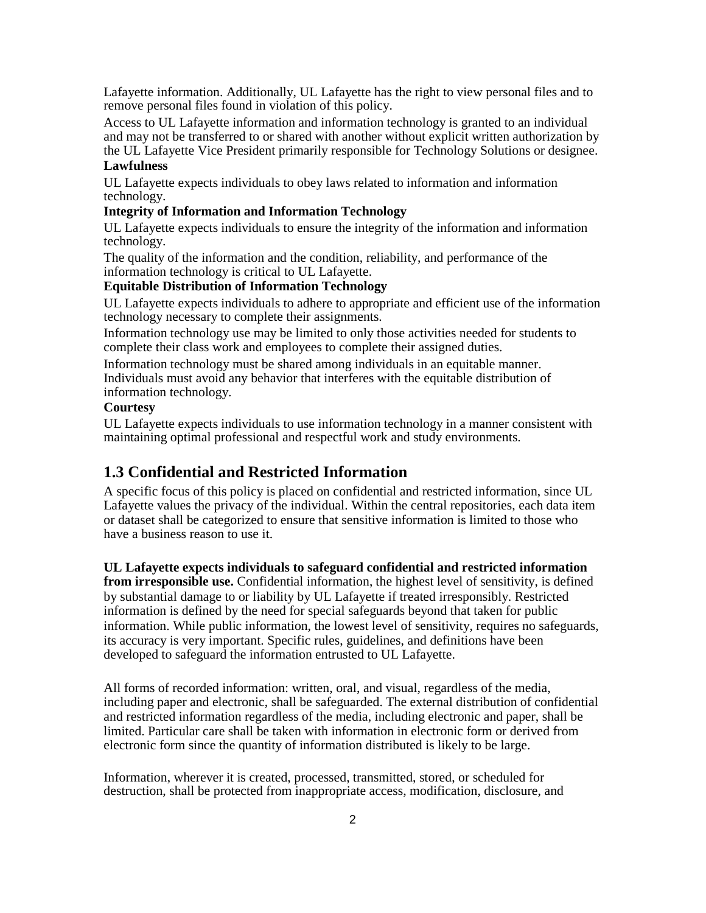Lafayette information. Additionally, UL Lafayette has the right to view personal files and to remove personal files found in violation of this policy.

Access to UL Lafayette information and information technology is granted to an individual and may not be transferred to or shared with another without explicit written authorization by the UL Lafayette Vice President primarily responsible for Technology Solutions or designee.

#### **Lawfulness**

UL Lafayette expects individuals to obey laws related to information and information technology.

#### **Integrity of Information and Information Technology**

UL Lafayette expects individuals to ensure the integrity of the information and information technology.

The quality of the information and the condition, reliability, and performance of the information technology is critical to UL Lafayette.

#### **Equitable Distribution of Information Technology**

UL Lafayette expects individuals to adhere to appropriate and efficient use of the information technology necessary to complete their assignments.

Information technology use may be limited to only those activities needed for students to complete their class work and employees to complete their assigned duties.

Information technology must be shared among individuals in an equitable manner. Individuals must avoid any behavior that interferes with the equitable distribution of information technology.

#### **Courtesy**

UL Lafayette expects individuals to use information technology in a manner consistent with maintaining optimal professional and respectful work and study environments.

# **1.3 Confidential and Restricted Information**

A specific focus of this policy is placed on confidential and restricted information, since UL Lafayette values the privacy of the individual. Within the central repositories, each data item or dataset shall be categorized to ensure that sensitive information is limited to those who have a business reason to use it.

#### **UL Lafayette expects individuals to safeguard confidential and restricted information**

**from irresponsible use.** Confidential information, the highest level of sensitivity, is defined by substantial damage to or liability by UL Lafayette if treated irresponsibly. Restricted information is defined by the need for special safeguards beyond that taken for public information. While public information, the lowest level of sensitivity, requires no safeguards, its accuracy is very important. Specific rules, guidelines, and definitions have been developed to safeguard the information entrusted to UL Lafayette.

All forms of recorded information: written, oral, and visual, regardless of the media, including paper and electronic, shall be safeguarded. The external distribution of confidential and restricted information regardless of the media, including electronic and paper, shall be limited. Particular care shall be taken with information in electronic form or derived from electronic form since the quantity of information distributed is likely to be large.

Information, wherever it is created, processed, transmitted, stored, or scheduled for destruction, shall be protected from inappropriate access, modification, disclosure, and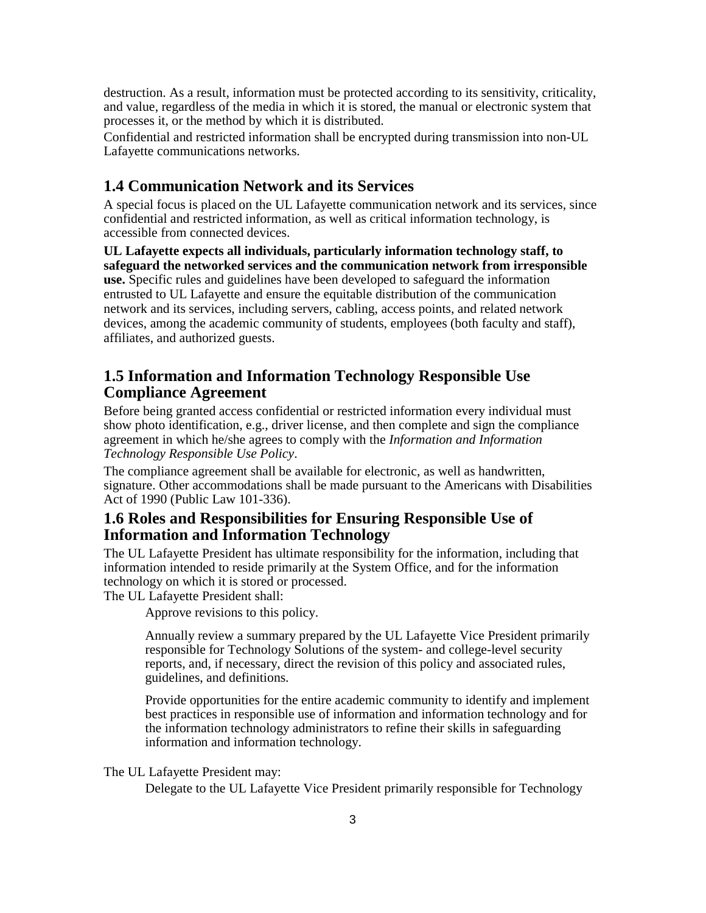destruction. As a result, information must be protected according to its sensitivity, criticality, and value, regardless of the media in which it is stored, the manual or electronic system that processes it, or the method by which it is distributed.

Confidential and restricted information shall be encrypted during transmission into non-UL Lafayette communications networks.

# **1.4 Communication Network and its Services**

A special focus is placed on the UL Lafayette communication network and its services, since confidential and restricted information, as well as critical information technology, is accessible from connected devices.

**UL Lafayette expects all individuals, particularly information technology staff, to safeguard the networked services and the communication network from irresponsible use.** Specific rules and guidelines have been developed to safeguard the information entrusted to UL Lafayette and ensure the equitable distribution of the communication network and its services, including servers, cabling, access points, and related network devices, among the academic community of students, employees (both faculty and staff), affiliates, and authorized guests.

# **1.5 Information and Information Technology Responsible Use Compliance Agreement**

Before being granted access confidential or restricted information every individual must show photo identification, e.g., driver license, and then complete and sign the compliance agreement in which he/she agrees to comply with the *Information and Information Technology Responsible Use Policy*.

The compliance agreement shall be available for electronic, as well as handwritten, signature. Other accommodations shall be made pursuant to the Americans with Disabilities Act of 1990 (Public Law 101-336).

# **1.6 Roles and Responsibilities for Ensuring Responsible Use of Information and Information Technology**

The UL Lafayette President has ultimate responsibility for the information, including that information intended to reside primarily at the System Office, and for the information technology on which it is stored or processed.

The UL Lafayette President shall:

Approve revisions to this policy.

Annually review a summary prepared by the UL Lafayette Vice President primarily responsible for Technology Solutions of the system- and college-level security reports, and, if necessary, direct the revision of this policy and associated rules, guidelines, and definitions.

Provide opportunities for the entire academic community to identify and implement best practices in responsible use of information and information technology and for the information technology administrators to refine their skills in safeguarding information and information technology.

#### The UL Lafayette President may:

Delegate to the UL Lafayette Vice President primarily responsible for Technology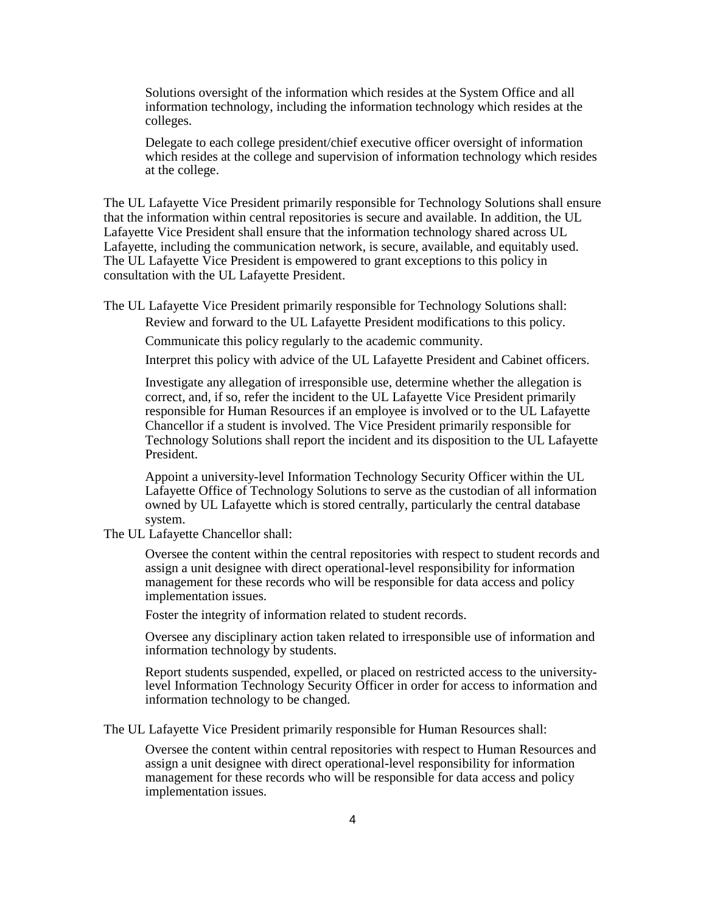Solutions oversight of the information which resides at the System Office and all information technology, including the information technology which resides at the colleges.

Delegate to each college president/chief executive officer oversight of information which resides at the college and supervision of information technology which resides at the college.

The UL Lafayette Vice President primarily responsible for Technology Solutions shall ensure that the information within central repositories is secure and available. In addition, the UL Lafayette Vice President shall ensure that the information technology shared across UL Lafayette, including the communication network, is secure, available, and equitably used. The UL Lafayette Vice President is empowered to grant exceptions to this policy in consultation with the UL Lafayette President.

The UL Lafayette Vice President primarily responsible for Technology Solutions shall:

Review and forward to the UL Lafayette President modifications to this policy.

Communicate this policy regularly to the academic community.

Interpret this policy with advice of the UL Lafayette President and Cabinet officers.

Investigate any allegation of irresponsible use, determine whether the allegation is correct, and, if so, refer the incident to the UL Lafayette Vice President primarily responsible for Human Resources if an employee is involved or to the UL Lafayette Chancellor if a student is involved. The Vice President primarily responsible for Technology Solutions shall report the incident and its disposition to the UL Lafayette President.

Appoint a university-level Information Technology Security Officer within the UL Lafayette Office of Technology Solutions to serve as the custodian of all information owned by UL Lafayette which is stored centrally, particularly the central database system.

The UL Lafayette Chancellor shall:

Oversee the content within the central repositories with respect to student records and assign a unit designee with direct operational-level responsibility for information management for these records who will be responsible for data access and policy implementation issues.

Foster the integrity of information related to student records.

Oversee any disciplinary action taken related to irresponsible use of information and information technology by students.

Report students suspended, expelled, or placed on restricted access to the universitylevel Information Technology Security Officer in order for access to information and information technology to be changed.

The UL Lafayette Vice President primarily responsible for Human Resources shall:

Oversee the content within central repositories with respect to Human Resources and assign a unit designee with direct operational-level responsibility for information management for these records who will be responsible for data access and policy implementation issues.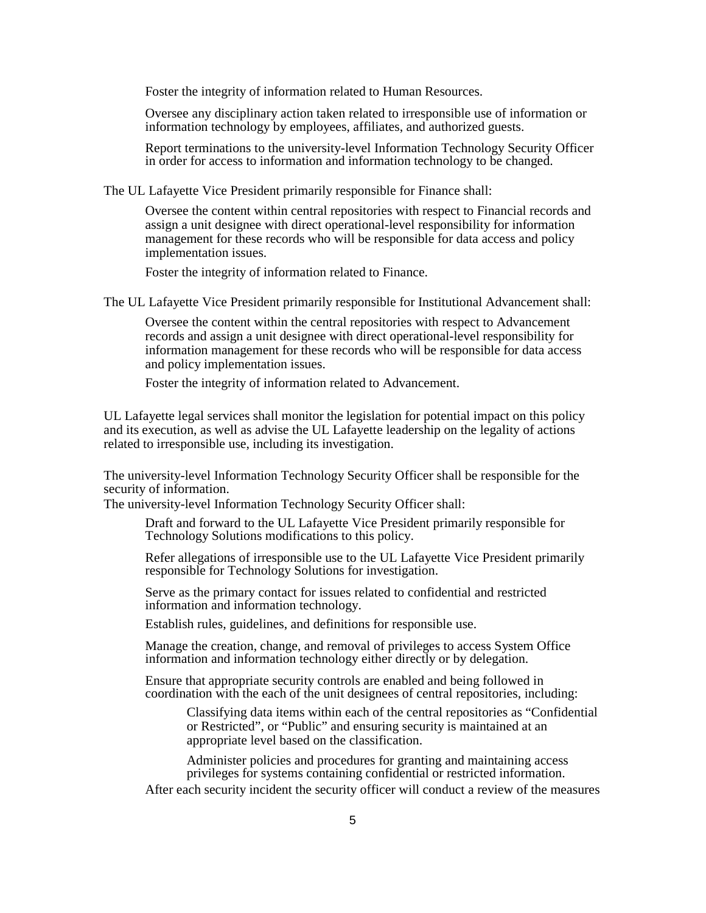Foster the integrity of information related to Human Resources.

Oversee any disciplinary action taken related to irresponsible use of information or information technology by employees, affiliates, and authorized guests.

Report terminations to the university-level Information Technology Security Officer in order for access to information and information technology to be changed.

The UL Lafayette Vice President primarily responsible for Finance shall:

Oversee the content within central repositories with respect to Financial records and assign a unit designee with direct operational-level responsibility for information management for these records who will be responsible for data access and policy implementation issues.

Foster the integrity of information related to Finance.

The UL Lafayette Vice President primarily responsible for Institutional Advancement shall:

Oversee the content within the central repositories with respect to Advancement records and assign a unit designee with direct operational-level responsibility for information management for these records who will be responsible for data access and policy implementation issues.

Foster the integrity of information related to Advancement.

UL Lafayette legal services shall monitor the legislation for potential impact on this policy and its execution, as well as advise the UL Lafayette leadership on the legality of actions related to irresponsible use, including its investigation.

The university-level Information Technology Security Officer shall be responsible for the security of information.

The university-level Information Technology Security Officer shall:

Draft and forward to the UL Lafayette Vice President primarily responsible for Technology Solutions modifications to this policy.

Refer allegations of irresponsible use to the UL Lafayette Vice President primarily responsible for Technology Solutions for investigation.

Serve as the primary contact for issues related to confidential and restricted information and information technology.

Establish rules, guidelines, and definitions for responsible use.

Manage the creation, change, and removal of privileges to access System Office information and information technology either directly or by delegation.

Ensure that appropriate security controls are enabled and being followed in coordination with the each of the unit designees of central repositories, including:

Classifying data items within each of the central repositories as "Confidential or Restricted", or "Public" and ensuring security is maintained at an appropriate level based on the classification.

Administer policies and procedures for granting and maintaining access privileges for systems containing confidential or restricted information. After each security incident the security officer will conduct a review of the measures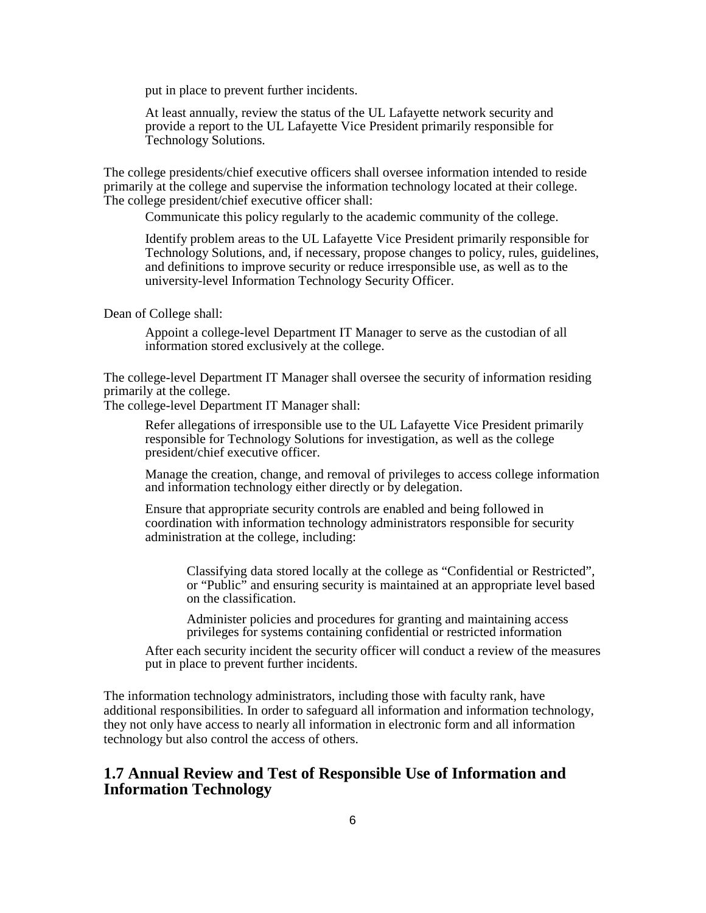put in place to prevent further incidents.

At least annually, review the status of the UL Lafayette network security and provide a report to the UL Lafayette Vice President primarily responsible for Technology Solutions.

The college presidents/chief executive officers shall oversee information intended to reside primarily at the college and supervise the information technology located at their college. The college president/chief executive officer shall:

Communicate this policy regularly to the academic community of the college.

Identify problem areas to the UL Lafayette Vice President primarily responsible for Technology Solutions, and, if necessary, propose changes to policy, rules, guidelines, and definitions to improve security or reduce irresponsible use, as well as to the university-level Information Technology Security Officer.

#### Dean of College shall:

Appoint a college-level Department IT Manager to serve as the custodian of all information stored exclusively at the college.

The college-level Department IT Manager shall oversee the security of information residing primarily at the college.

The college-level Department IT Manager shall:

Refer allegations of irresponsible use to the UL Lafayette Vice President primarily responsible for Technology Solutions for investigation, as well as the college president/chief executive officer.

Manage the creation, change, and removal of privileges to access college information and information technology either directly or by delegation.

Ensure that appropriate security controls are enabled and being followed in coordination with information technology administrators responsible for security administration at the college, including:

Classifying data stored locally at the college as "Confidential or Restricted", or "Public" and ensuring security is maintained at an appropriate level based on the classification.

Administer policies and procedures for granting and maintaining access privileges for systems containing confidential or restricted information

After each security incident the security officer will conduct a review of the measures put in place to prevent further incidents.

The information technology administrators, including those with faculty rank, have additional responsibilities. In order to safeguard all information and information technology, they not only have access to nearly all information in electronic form and all information technology but also control the access of others.

# **1.7 Annual Review and Test of Responsible Use of Information and Information Technology**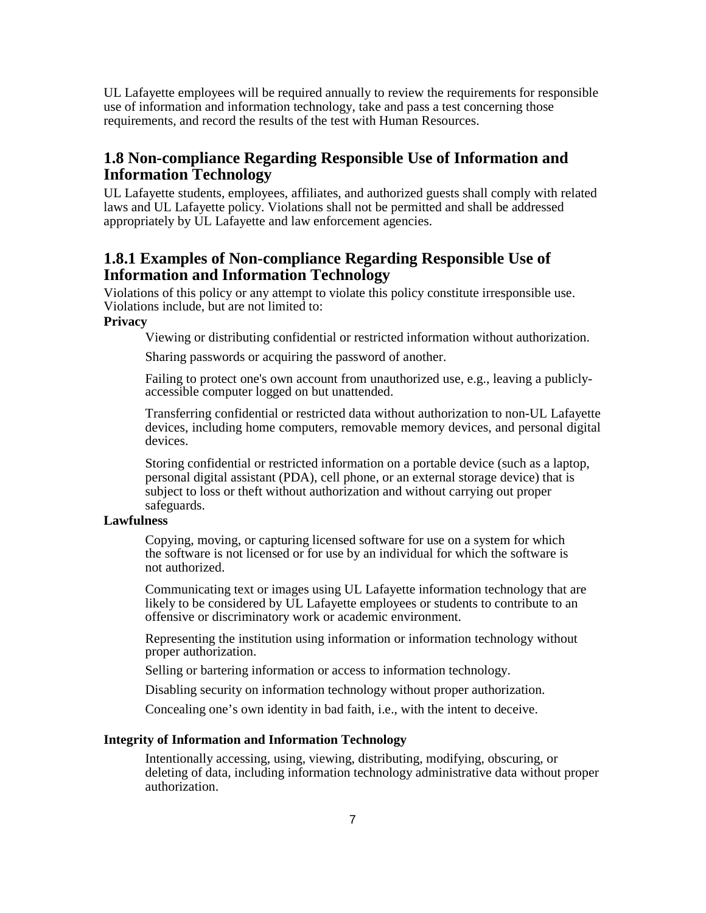UL Lafayette employees will be required annually to review the requirements for responsible use of information and information technology, take and pass a test concerning those requirements, and record the results of the test with Human Resources.

### **1.8 Non-compliance Regarding Responsible Use of Information and Information Technology**

UL Lafayette students, employees, affiliates, and authorized guests shall comply with related laws and UL Lafayette policy. Violations shall not be permitted and shall be addressed appropriately by UL Lafayette and law enforcement agencies.

# **1.8.1 Examples of Non-compliance Regarding Responsible Use of Information and Information Technology**

Violations of this policy or any attempt to violate this policy constitute irresponsible use. Violations include, but are not limited to:

### **Privacy**

Viewing or distributing confidential or restricted information without authorization.

Sharing passwords or acquiring the password of another.

Failing to protect one's own account from unauthorized use, e.g., leaving a publiclyaccessible computer logged on but unattended.

Transferring confidential or restricted data without authorization to non-UL Lafayette devices, including home computers, removable memory devices, and personal digital devices.

Storing confidential or restricted information on a portable device (such as a laptop, personal digital assistant (PDA), cell phone, or an external storage device) that is subject to loss or theft without authorization and without carrying out proper safeguards.

### **Lawfulness**

Copying, moving, or capturing licensed software for use on a system for which the software is not licensed or for use by an individual for which the software is not authorized.

Communicating text or images using UL Lafayette information technology that are likely to be considered by UL Lafayette employees or students to contribute to an offensive or discriminatory work or academic environment.

Representing the institution using information or information technology without proper authorization.

Selling or bartering information or access to information technology.

Disabling security on information technology without proper authorization.

Concealing one's own identity in bad faith, i.e., with the intent to deceive.

#### **Integrity of Information and Information Technology**

Intentionally accessing, using, viewing, distributing, modifying, obscuring, or deleting of data, including information technology administrative data without proper authorization.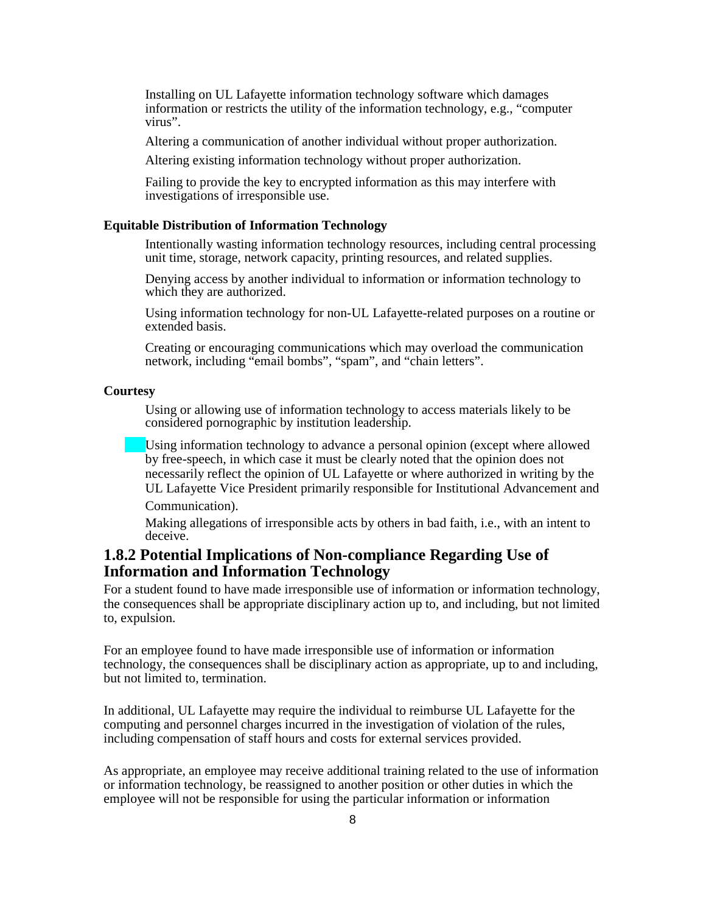Installing on UL Lafayette information technology software which damages information or restricts the utility of the information technology, e.g., "computer virus".

Altering a communication of another individual without proper authorization.

Altering existing information technology without proper authorization.

Failing to provide the key to encrypted information as this may interfere with investigations of irresponsible use.

#### **Equitable Distribution of Information Technology**

Intentionally wasting information technology resources, including central processing unit time, storage, network capacity, printing resources, and related supplies.

Denying access by another individual to information or information technology to which they are authorized.

Using information technology for non-UL Lafayette-related purposes on a routine or extended basis.

Creating or encouraging communications which may overload the communication network, including "email bombs", "spam", and "chain letters".

#### **Courtesy**

Using or allowing use of information technology to access materials likely to be considered pornographic by institution leadership.

Using information technology to advance a personal opinion (except where allowed by free-speech, in which case it must be clearly noted that the opinion does not necessarily reflect the opinion of UL Lafayette or where authorized in writing by the UL Lafayette Vice President primarily responsible for Institutional Advancement and Communication).

Making allegations of irresponsible acts by others in bad faith, i.e., with an intent to deceive.

### **1.8.2 Potential Implications of Non-compliance Regarding Use of Information and Information Technology**

For a student found to have made irresponsible use of information or information technology, the consequences shall be appropriate disciplinary action up to, and including, but not limited to, expulsion.

For an employee found to have made irresponsible use of information or information technology, the consequences shall be disciplinary action as appropriate, up to and including, but not limited to, termination.

In additional, UL Lafayette may require the individual to reimburse UL Lafayette for the computing and personnel charges incurred in the investigation of violation of the rules, including compensation of staff hours and costs for external services provided.

As appropriate, an employee may receive additional training related to the use of information or information technology, be reassigned to another position or other duties in which the employee will not be responsible for using the particular information or information